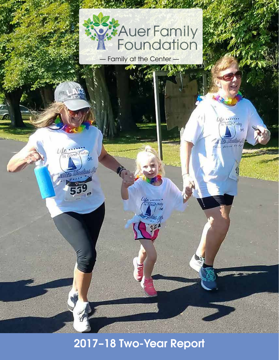

— Family at the Center — **Section 1985** 

 $\frac{1}{\sqrt{100}}$ 

òñ

2017–18 Two-Year Report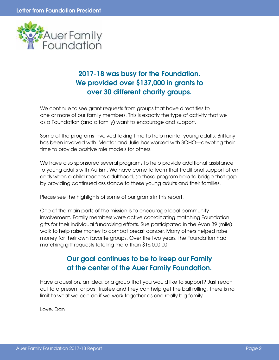

## 2017-18 was busy for the Foundation. We provided over \$137,000 in grants to over 30 different charity groups.

We continue to see grant requests from groups that have direct ties to one or more of our family members. This is exactly the type of activity that we as a Foundation (and a family) want to encourage and support.

Some of the programs involved taking time to help mentor young adults. Brittany has been involved with iMentor and Julie has worked with SOHO—devoting their time to provide positive role models for others.

We have also sponsored several programs to help provide additional assistance to young adults with Autism. We have come to learn that traditional support often ends when a child reaches adulthood, so these program help to bridge that gap by providing continued assistance to these young adults and their families.

Please see the highlights of some of our grants in this report.

One of the main parts of the mission is to encourage local community involvement. Family members were active coordinating matching Foundation gifts for their individual fundraising efforts. Sue participated in the Avon 39 (mile) walk to help raise money to combat breast cancer. Many others helped raise money for their own favorite groups. Over the two years, the Foundation had matching gift requests totaling more than \$16,000.00

## Our goal continues to be to keep our Family at the center of the Auer Family Foundation.

Have a question, an idea, or a group that you would like to support? Just reach out to a present or past Trustee and they can help get the ball rolling. There is no limit to what we can do if we work together as one really big family.

Love, Dan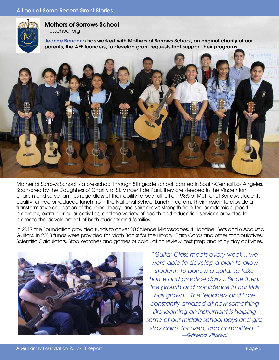

Mothers of Sorrows School mosschool.org

Jeanne Bonanno has worked with Mothers of Sorrows School, an original charity of our parents, the AFF founders, to develop grant requests that support their programs.



Mother of Sorrows School is a pre-school through 8th grade school located in South-Central Los Angeles. Sponsored by the Daughters of Charity of St. Vincent de Paul, they are steeped in the Vincentian charism and serve families regardless of their ability to pay full tuition. 98% of Mother of Sorrows students qualify for free or reduced lunch from the National School Lunch Program. Their mission to provide a transformative education of the mind, body, and spirit draws strength from the academic support programs, extra-curricular activities, and the variety of health and education services provided to promote the development of both students and families.

In 2017 the Foundation provided funds to cover 20 Science Microscopes, 4 Handbell Sets and 6 Acoustic Guitars. In 2018 funds were provided for Math Books for the Library, Flash Cards and other manipulatives, Scientific Calculators, Stop Watches and games of calculation review, test prep and rainy day activities.



*"Guitar Class meets every week... we were able to develop a plan to allow students to borrow a guitar to take home and practice daily... Since then, the growth and confidence in our kids has grown... The teachers and I are constantly amazed at how something like learning an instrument is helping some of our middle school boys and girls stay calm, focused, and committed! " —Griselda Villareal*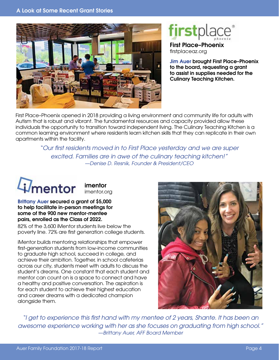

# firstplace<sup>®</sup>

First Place–Phoenix firstplaceaz.org

Jim Auer brought First Place–Phoenix to the board, requesting a grant to assist in supplies needed for the Culinary Teaching Kitchen.

First Place–Phoenix opened in 2018 providing a living environment and community life for adults with Autism that is robust and vibrant. The fundamental resources and capacity provided allow these individuals the opportunity to transition toward independent living. The Culinary Teaching Kitchen is a common learning environment where residents learn kitchen skills that they can replicate in their own apartments within the facility.

> *"Our first residents moved in to First Place yesterday and we are super excited. Families are in awe of the culinary teaching kitchen!" —Denise D. Resnik, Founder & President/CEO*



#### Brittany Auer secured a grant of \$5,000 to help facilitate in-person meetings for some of the 900 new mentor-mentee pairs, enrolled as the Class of 2022.

82% of the 3,600 iMentor students live below the poverty line. 72% are first generation college students.

iMentor builds mentoring relationships that empower first-generation students from low-income communities to graduate high school, succeed in college, and achieve their ambition. Together, in school cafeterias across our city, students meet with adults to discuss the student's dreams. One constant that each student and mentor can count on is a space to connect and have a healthy and positive conversation. The aspiration is for each student to achieve their highest education and career dreams with a dedicated champion alongside them.



*"I get to experience this first hand with my mentee of 2 years, Shante. It has been an awesome experience working with her as she focuses on graduating from high school." —Brittany Auer, AFF Board Member*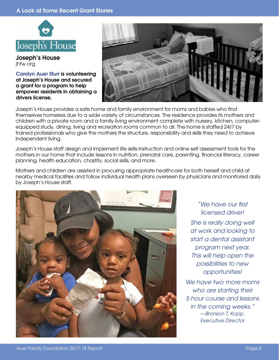#### A Look at Some Recent Grant Stories



Joseph's House jhfw.org

Carolyn Auer Sturr is volunteering at Joseph's House and secured a grant for a program to help empower residents in obtaining a drivers license.



Joseph's House provides a safe home and family environment for moms and babies who find themselves homeless due to a wide variety of circumstances. The residence provides its mothers and children with a private room and a family living environment complete with nursery, kitchen, computerequipped study, dining, living and recreation rooms common to all. The home is staffed 24/7 by trained professionals who give the mothers the structure, responsibility and skills they need to achieve independent living.

Joseph's House staff design and implement life skills instruction and online self assessment tools for the mothers in our home that include lessons in nutrition, prenatal care, parenting, financial literacy, career planning, health education, chastity, social skills, and more.

Mothers and children are assisted in procuring appropriate healthcare for both herself and child at nearby medical facilities and follow individual health plans overseen by physicians and monitored daily by Joseph's House staff.



*"We have our first licensed driver!* 

*She is really doing well at work and looking to start a dental assistant program next year. This will help open the possibilities to new opportunities!* 

*We have two more moms who are starting their 5 hour course and lessons in the coming weeks." —Bronson T. Kopp, Executive Director*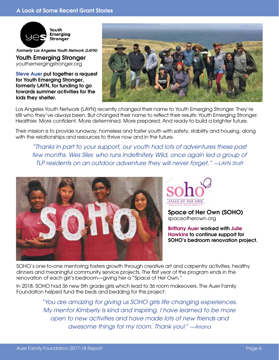

*Formerly Los Angeles Youth Network (LAYN)*

Youth Emerging Stronger youthemergingstronger.org

Steve Auer put together a request for Youth Emerging Stronger, formerly LAYN, for funding to go towards summer activities for the kids they shelter.



Los Angeles Youth Network (LAYN) recently changed their name to Youth Emerging Stronger. They're still who they've always been. But changed their name to reflect their results: Youth Emerging Stronger. Healthier. More confident. More determined. More prepared. And ready to build a brighter future.

Their mission is to provide runaway, homeless and foster youth with safety, stability and housing, along with the relationships and resources to thrive now and in the future.

*"Thanks in part to your support, our youth had lots of adventures these past*  few months. Wes Siler, who runs Indefinitely Wild, once again led a group of *TLP residents on an outdoor adventure they will never forget." —LAYN Staff*





Space of Her Own (SOHO) spaceofherown.org

Brittany Auer worked with Julie Hawkins to continue support for SOHO's bedroom renovation project.

SOHO's one-to-one mentoring fosters growth through creative art and carpentry activities, healthy dinners and meaningful community service projects. The first year of the program ends in the renovation of each girl's bedroom—giving her a "Space of Her Own."

In 2018, SOHO had 36 new 5th grade girls which lead to 36 room makeovers. The Auer Family Foundation helped fund the beds and bedding for this project.

> *"You are amazing for giving us SOHO girls life changing experiences. My mentor Kimberly is kind and inspiring. I have learned to be more open to new activities and have made lots of new friends and awesome things for my room. Thank you!" —Ariana*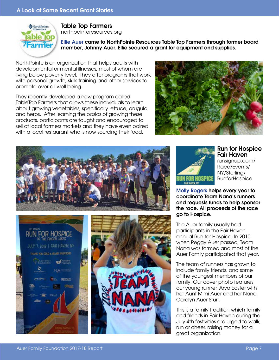

#### Table Top Farmers northpointeresources.org

Ellie Auer came to NorthPointe Resources Table Top Farmers through former board member, Johnny Auer. Ellie secured a grant for equipment and supplies.

NorthPointe is an organization that helps adults with developmental or mental illnesses, most of whom are living below poverty level. They offer programs that work with personal growth, skills training and other services to promote over-all well being.

They recently developed a new program called TableTop Farmers that allows these individuals to learn about growing vegetables, specifically lettuce, arugula and herbs. After learning the basics of growing these products, participants are taught and encouraged to sell at local farmers markets and they have even paired with a local restaurant who is now sourcing their food.







#### Run for Hospice Fair Haven

runsignup.com/ Race/Events/ NY/Sterling/ RunforHospice

Molly Rogers helps every year to coordinate Team Nana's runners and requests funds to help sponsor the race. All proceeds of the race go to Hospice.

The Auer family usually had participants in the Fair Haven annual Run for Hospice. In 2010 when Peggy Auer passed, Team Nana was formed and most of the Auer Family participated that year.

The team of runners has grown to include family friends, and some of the youngest members of our family. Our cover photo features our young runner, Arya Easter with her Aunt Mimi Auer and her Nana, Carolyn Auer Sturr.

This is a family tradition which family and friends in Fair Haven during the July 4th festivities are urged to walk, run or cheer, raising money for a great organization.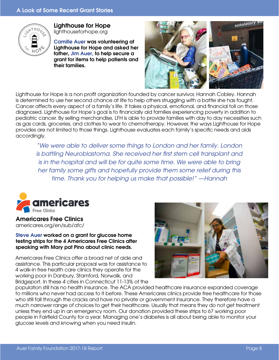

Lighthouse for Hope

lighthouseforhope.org

Camille Auer was volunteering at Lighthouse for Hope and asked her father, Jim Auer, to help secure a grant for items to help patients and their families.



Lighthouse for Hope is a non profit organization founded by cancer survivor, Hannah Cobley. Hannah is determined to use her second chance at life to help others struggling with a battle she has fought. Cancer affects every aspect of a family's life. It takes a physical, emotional, and financial toll on those diagnosed. Lighthouse for Hope's goal is to financially aid families experiencing poverty in addition to pediatric cancer. By selling merchandise, LFH is able to provide families with day to day necessities such as gas cards, groceries, and clothes to wear to chemotherapy. However, the ways Lighthouse for Hope provides are not limited to those things. Lighthouse evaluates each family's specific needs and aids accordingly.

*"We were able to deliver some things to London and her family. London is battling Neuroblastoma. She received her first stem cell transplant and is in the hospital and will be for quite some time. We were able to bring her family some gifts and hopefully provide them some relief during this time. Thank you for helping us make that possible!" —Hannah*



Americares Free Clinics americares.org/en/sub/afc/

Steve Auer worked on a grant for glucose home testing strips for the 4 Americares Free Clinics after speaking with Mary pat Pino about clinic needs.

Americares Free Clinics offer a broad net of aide and assistance. This particular proposal was for assistance to 4 walk-in free health care clinics they operate for the working poor in Danbury, Stamford, Norwalk, and Bridgeport. In these 4 cities in Connecticut 11-13% of the



population still has no health insurance. The ACA provided healthcare insurance expanded coverage to millions who never had access to it before. These Americares clinics provide free healthcare for those who still fall through the cracks and have no private or government insurance. They therefore have a much narrower range of choices to get their healthcare. Usually that means they do not get treatment unless they end up in an emergency room. Our donation provided these strips to 67 working poor people in Fairfield County for a year. Managing one's diabetes is all about being able to monitor your glucose levels and knowing when you need insulin.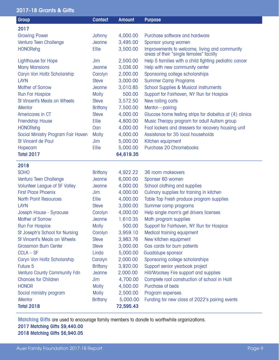#### 2017-18 Grants & Gifts

| <b>Group</b>                         | <b>Contact</b>  | <b>Amount</b> | <b>Purpose</b>                                                                            |
|--------------------------------------|-----------------|---------------|-------------------------------------------------------------------------------------------|
| 2017                                 |                 |               |                                                                                           |
| <b>Growing Power</b>                 | Johnny          | 4,000.00      | Purchase software and hardware                                                            |
| Ventura Teen Challenge               | Jeanne          | 3,495.00      | Sponsor young women                                                                       |
| <b>HONORehg</b>                      | Ellie           | 3,500.00      | Improvements to welcome, living and community<br>areas of their "single females" facility |
| Lighthouse for Hope                  | Jim             | 2,500.00      | Help 5 families with a child fighting pediatric cancer                                    |
| <b>Many Mansions</b>                 | Jeanne          | 3,036.00      | Help with new community center                                                            |
| Caryn Von Holtz Scholarship          | Carolyn         | 2,000.00      | Sponsoring college scholarships                                                           |
| <b>LAYN</b>                          | <b>Steve</b>    | 3,000.00      | <b>Summer Camp Programs</b>                                                               |
| <b>Mother of Sorrow</b>              | Jeanne          | 3,010.85      | <b>School Supplies &amp; Musical instruments</b>                                          |
| <b>Run For Hospice</b>               | <b>Molly</b>    | 500.00        | Support for Fairhaven, NY Run for Hospice                                                 |
| St Vincent's Meals on Wheels         | <b>Steve</b>    | 3,572.50      | New rolling carts                                                                         |
| iMentor                              | <b>Brittany</b> | 7,500.00      | Mentor-pairing                                                                            |
| Americares in CT                     | <b>Steve</b>    | 4,000.00      | Glucose home testing strips for diabetics at (4) clinics                                  |
| <b>Friendship House</b>              | Ellie           | 4,800.00      | Music Therapy program for adult Autism group                                              |
| <b>HONORehg</b>                      | Dan             | 4,000.00      | Foot lockers and dressers for recovery housing unit                                       |
| Social Ministry Program Fair Haven   | <b>Molly</b>    | 4,000.00      | Assistance for 35 local households                                                        |
| St Vincent de Paul                   | Jim             | 5,000.00      | Kitchen equipment                                                                         |
| Hopecam                              | Ellie           | 5,000.00      | Purchase 20 Chromebooks                                                                   |
| <b>Total 2017</b>                    |                 | 64,619.35     |                                                                                           |
| 2018                                 |                 |               |                                                                                           |
| <b>SOHO</b>                          | <b>Brittany</b> | 4,922.22      | 36 room makeovers                                                                         |
| Ventura Teen Challenge               | Jeanne          | 6,000.00      | Sponser 60 women                                                                          |
| <b>Volunteer League of SF Valley</b> | Jeanne          | 4,000.00      | School clothing and supplies                                                              |
| <b>First Place Phoenix</b>           | Jim             | 4,000.00      | Culinary supplies for training in kitchen                                                 |
| <b>North Point Resources</b>         | <b>Ellie</b>    | 4,000.00      | Table Top Fresh produce program supplies                                                  |
| <b>LAYN</b>                          | <b>Steve</b>    | 3,000.00      | Summer camp programs                                                                      |
| Joseph House - Syracuse              | Carolyn         | 4,000.00      | Help single mom's get drivers licenses                                                    |
| <b>Mother of Sorrow</b>              | Jeanne          | 1,610.35      | Math program supplies                                                                     |
| <b>Run For Hospice</b>               | <b>Molly</b>    | 500.00        | Support for Fairhaven, NY Run for Hospice                                                 |
| St Joseph's School for Nursing       | Carolyn         | 3,959.10      | Medical training equipment                                                                |
| St Vincent's Meals on Wheels         | <b>Steve</b>    | 3,983.76      | New kitchen equipment                                                                     |
| Grossman Burn Center                 | <b>Steve</b>    | 3,000.00      | Gas cards for burn patients                                                               |
| $CCLA - SF$                          | Linda           | 5,000.00      | Guadalupe sponsor                                                                         |
| Caryn Von Holtz Scholarship          | Carolyn         | 2,000.00      | Sponsoring college scholarships                                                           |
| Future 5                             | <b>Brittany</b> | 3,920.00      | Support senior yearbook project                                                           |
| Ventura County Community Fdn         | Jeanne          | 2,000.00      | Hill/Woolsey Fire support and supplies                                                    |
| <b>Chances for Children</b>          | Jim             | 4,700.00      | Complete roof construction of school in Haiti                                             |
| <b>HONOR</b>                         | <b>Molly</b>    | 4,500.00      | Purchase of beds                                                                          |
| Social ministry program              | <b>Molly</b>    | 2,500.00      | Program expenses                                                                          |
| <b>iMentor</b>                       | <b>Brittany</b> | 5,000.00      | Funding for new class of 2022's pairing events                                            |
| <b>Total 2018</b>                    |                 | 72,595.43     |                                                                                           |

**Matching Gifts** are used to encourage family members to donate to worthwhile organizations.

2017 Matching Gifts \$9,440.00

2018 Matching Gifts \$6,940.05